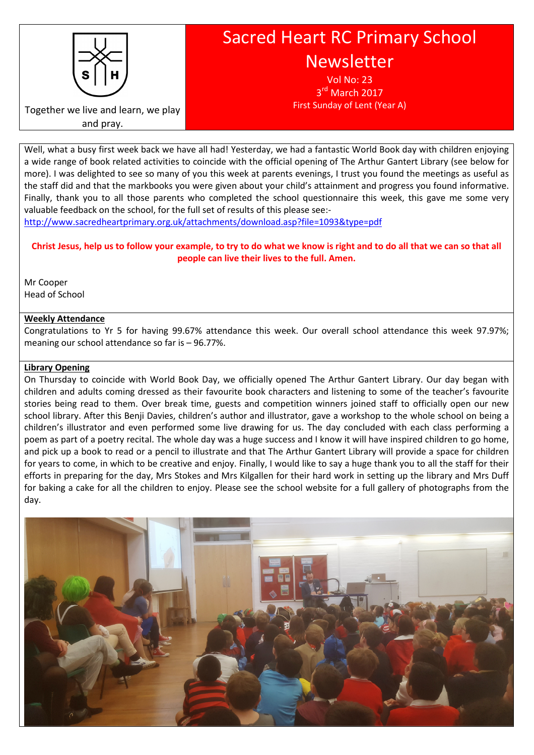

# Sacred Heart RC Primary School Newsletter

Vol No: 23 3<sup>rd</sup> March 2017 First Sunday of Lent (Year A)

Together we live and learn, we play and pray.

Well, what a busy first week back we have all had! Yesterday, we had a fantastic World Book day with children enjoying a wide range of book related activities to coincide with the official opening of The Arthur Gantert Library (see below for more). I was delighted to see so many of you this week at parents evenings, I trust you found the meetings as useful as the staff did and that the markbooks you were given about your child's attainment and progress you found informative. Finally, thank you to all those parents who completed the school questionnaire this week, this gave me some very valuable feedback on the school, for the full set of results of this please see:-

http://www.sacredheartprimary.org.uk/attachments/download.asp?file=1093&type=pdf

# Christ Jesus, help us to follow your example, to try to do what we know is right and to do all that we can so that all people can live their lives to the full. Amen.

Mr Cooper Head of School

# Weekly Attendance

Congratulations to Yr 5 for having 99.67% attendance this week. Our overall school attendance this week 97.97%; meaning our school attendance so far is – 96.77%.

# Library Opening

On Thursday to coincide with World Book Day, we officially opened The Arthur Gantert Library. Our day began with children and adults coming dressed as their favourite book characters and listening to some of the teacher's favourite stories being read to them. Over break time, guests and competition winners joined staff to officially open our new school library. After this Benji Davies, children's author and illustrator, gave a workshop to the whole school on being a children's illustrator and even performed some live drawing for us. The day concluded with each class performing a poem as part of a poetry recital. The whole day was a huge success and I know it will have inspired children to go home, and pick up a book to read or a pencil to illustrate and that The Arthur Gantert Library will provide a space for children for years to come, in which to be creative and enjoy. Finally, I would like to say a huge thank you to all the staff for their efforts in preparing for the day, Mrs Stokes and Mrs Kilgallen for their hard work in setting up the library and Mrs Duff for baking a cake for all the children to enjoy. Please see the school website for a full gallery of photographs from the day.

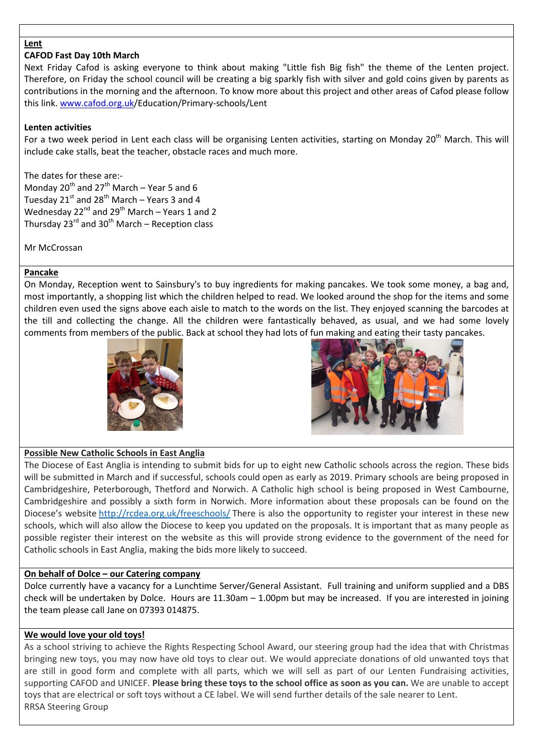## **Lent**

## CAFOD Fast Day 10th March

Next Friday Cafod is asking everyone to think about making "Little fish Big fish" the theme of the Lenten project. Therefore, on Friday the school council will be creating a big sparkly fish with silver and gold coins given by parents as contributions in the morning and the afternoon. To know more about this project and other areas of Cafod please follow this link. www.cafod.org.uk/Education/Primary-schools/Lent

## Lenten activities

For a two week period in Lent each class will be organising Lenten activities, starting on Monday 20<sup>th</sup> March. This will include cake stalls, beat the teacher, obstacle races and much more.

The dates for these are:- Monday 20<sup>th</sup> and 27<sup>th</sup> March – Year 5 and 6 Tuesday  $21^{st}$  and  $28^{th}$  March – Years 3 and 4 Wednesday  $22^{nd}$  and  $29^{th}$  March – Years 1 and 2 Thursday  $23^{rd}$  and  $30^{th}$  March – Reception class

Mr McCrossan

## Pancake

On Monday, Reception went to Sainsbury's to buy ingredients for making pancakes. We took some money, a bag and, most importantly, a shopping list which the children helped to read. We looked around the shop for the items and some children even used the signs above each aisle to match to the words on the list. They enjoyed scanning the barcodes at the till and collecting the change. All the children were fantastically behaved, as usual, and we had some lovely comments from members of the public. Back at school they had lots of fun making and eating their tasty pancakes.





# Possible New Catholic Schools in East Anglia

The Diocese of East Anglia is intending to submit bids for up to eight new Catholic schools across the region. These bids will be submitted in March and if successful, schools could open as early as 2019. Primary schools are being proposed in Cambridgeshire, Peterborough, Thetford and Norwich. A Catholic high school is being proposed in West Cambourne, Cambridgeshire and possibly a sixth form in Norwich. More information about these proposals can be found on the Diocese's website http://rcdea.org.uk/freeschools/ There is also the opportunity to register your interest in these new schools, which will also allow the Diocese to keep you updated on the proposals. It is important that as many people as possible register their interest on the website as this will provide strong evidence to the government of the need for Catholic schools in East Anglia, making the bids more likely to succeed.

#### On behalf of Dolce – our Catering company

Dolce currently have a vacancy for a Lunchtime Server/General Assistant. Full training and uniform supplied and a DBS check will be undertaken by Dolce. Hours are 11.30am – 1.00pm but may be increased. If you are interested in joining the team please call Jane on 07393 014875.

#### We would love your old toys!

As a school striving to achieve the Rights Respecting School Award, our steering group had the idea that with Christmas bringing new toys, you may now have old toys to clear out. We would appreciate donations of old unwanted toys that are still in good form and complete with all parts, which we will sell as part of our Lenten Fundraising activities, supporting CAFOD and UNICEF. Please bring these toys to the school office as soon as you can. We are unable to accept toys that are electrical or soft toys without a CE label. We will send further details of the sale nearer to Lent. RRSA Steering Group